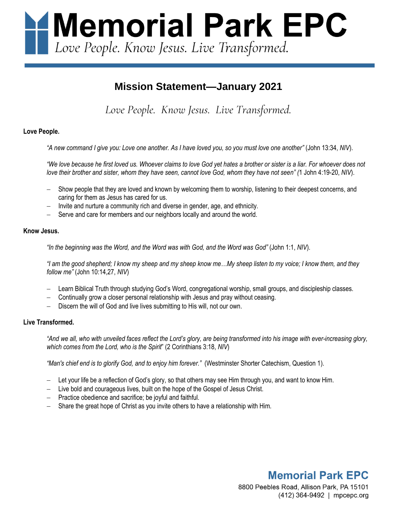Memorial Park EPC Love People. Know Jesus. Live Transformed.

# **Mission Statement—January 2021**

*Love People. Know Jesus. Live Transformed.*

## **Love People.**

*"A new command I give you: Love one another. As I have loved you, so you must love one another"* (John 13:34, *NIV*).

*"We love because he first loved us. Whoever claims to love God yet hates a brother or sister is a liar. For whoever does not love their brother and sister, whom they have seen, cannot love God, whom they have not seen" (*1 John 4:19-20, *NIV*).

- Show people that they are loved and known by welcoming them to worship, listening to their deepest concerns, and caring for them as Jesus has cared for us.
- Invite and nurture a community rich and diverse in gender, age, and ethnicity.
- Serve and care for members and our neighbors locally and around the world.

#### **Know Jesus.**

*"In the beginning was the Word, and the Word was with God, and the Word was God"* (John 1:1, *NIV*).

*"I am the good shepherd; I know my sheep and my sheep know me…My sheep listen to my voice; I know them, and they follow me"* (John 10:14,27, *NIV*)

- − Learn Biblical Truth through studying God's Word, congregational worship, small groups, and discipleship classes.
- − Continually grow a closer personal relationship with Jesus and pray without ceasing.
- Discern the will of God and live lives submitting to His will, not our own.

### **Live Transformed.**

*"And we all, who with unveiled faces reflect the Lord's glory, are being transformed into his image with ever-increasing glory, which comes from the Lord, who is the Spirit*" (2 Corinthians 3:18, *NIV*)

*"Man's chief end is to glorify God, and to enjoy him forever."* (Westminster Shorter Catechism, Question 1).

- Let your life be a reflection of God's glory, so that others may see Him through you, and want to know Him.
- − Live bold and courageous lives, built on the hope of the Gospel of Jesus Christ.
- − Practice obedience and sacrifice; be joyful and faithful.
- Share the great hope of Christ as you invite others to have a relationship with Him.